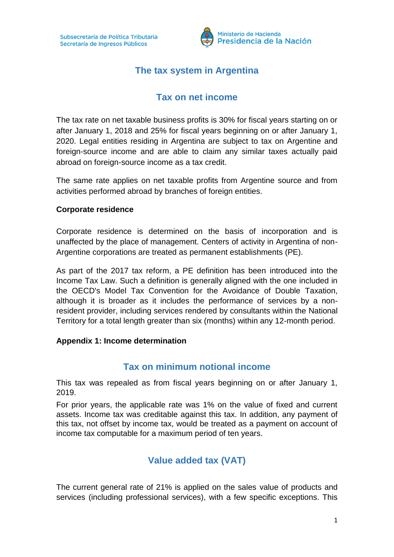

# **The tax system in Argentina**

## **Tax on net income**

The tax rate on net taxable business profits is 30% for fiscal years starting on or after January 1, 2018 and 25% for fiscal years beginning on or after January 1, 2020. Legal entities residing in Argentina are subject to tax on Argentine and foreign-source income and are able to claim any similar taxes actually paid abroad on foreign-source income as a tax credit.

The same rate applies on net taxable profits from Argentine source and from activities performed abroad by branches of foreign entities.

### **Corporate residence**

Corporate residence is determined on the basis of incorporation and is unaffected by the place of management. Centers of activity in Argentina of non-Argentine corporations are treated as permanent establishments (PE).

As part of the 2017 tax reform, a PE definition has been introduced into the Income Tax Law. Such a definition is generally aligned with the one included in the OECD's Model Tax Convention for the Avoidance of Double Taxation, although it is broader as it includes the performance of services by a nonresident provider, including services rendered by consultants within the National Territory for a total length greater than six (months) within any 12-month period.

### **Appendix 1: Income determination**

### **Tax on minimum notional income**

This tax was repealed as from fiscal years beginning on or after January 1, 2019.

For prior years, the applicable rate was 1% on the value of fixed and current assets. Income tax was creditable against this tax. In addition, any payment of this tax, not offset by income tax, would be treated as a payment on account of income tax computable for a maximum period of ten years.

# **Value added tax (VAT)**

The current general rate of 21% is applied on the sales value of products and services (including professional services), with a few specific exceptions. This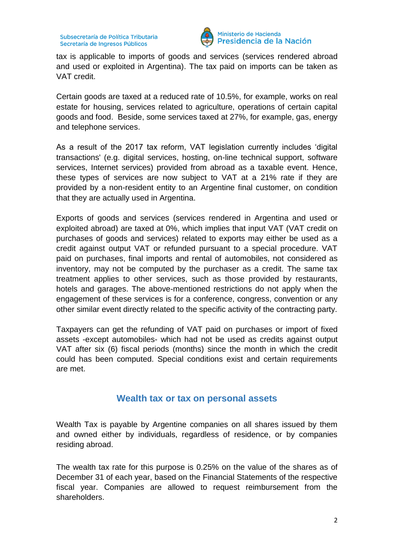

#### Ministerio de Hacienda Presidencia de la Nación

tax is applicable to imports of goods and services (services rendered abroad and used or exploited in Argentina). The tax paid on imports can be taken as VAT credit.

Certain goods are taxed at a reduced rate of 10.5%, for example, works on real estate for housing, services related to agriculture, operations of certain capital goods and food. Beside, some services taxed at 27%, for example, gas, energy and telephone services.

As a result of the 2017 tax reform, VAT legislation currently includes 'digital transactions' (e.g. digital services, hosting, on-line technical support, software services, Internet services) provided from abroad as a taxable event. Hence, these types of services are now subject to VAT at a 21% rate if they are provided by a non-resident entity to an Argentine final customer, on condition that they are actually used in Argentina.

Exports of goods and services (services rendered in Argentina and used or exploited abroad) are taxed at 0%, which implies that input VAT (VAT credit on purchases of goods and services) related to exports may either be used as a credit against output VAT or refunded pursuant to a special procedure. VAT paid on purchases, final imports and rental of automobiles, not considered as inventory, may not be computed by the purchaser as a credit. The same tax treatment applies to other services, such as those provided by restaurants, hotels and garages. The above-mentioned restrictions do not apply when the engagement of these services is for a conference, congress, convention or any other similar event directly related to the specific activity of the contracting party.

Taxpayers can get the refunding of VAT paid on purchases or import of fixed assets -except automobiles- which had not be used as credits against output VAT after six (6) fiscal periods (months) since the month in which the credit could has been computed. Special conditions exist and certain requirements are met.

### **Wealth tax or tax on personal assets**

Wealth Tax is payable by Argentine companies on all shares issued by them and owned either by individuals, regardless of residence, or by companies residing abroad.

The wealth tax rate for this purpose is 0.25% on the value of the shares as of December 31 of each year, based on the Financial Statements of the respective fiscal year. Companies are allowed to request reimbursement from the shareholders.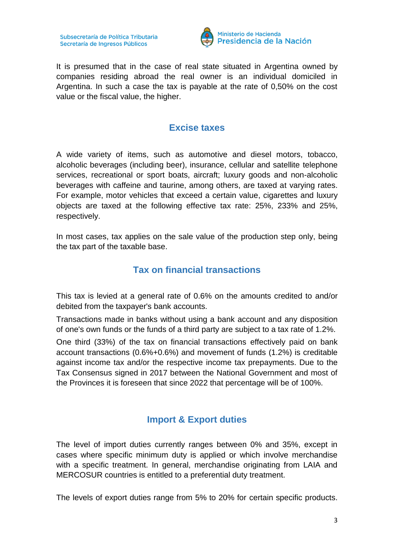

It is presumed that in the case of real state situated in Argentina owned by companies residing abroad the real owner is an individual domiciled in Argentina. In such a case the tax is payable at the rate of 0,50% on the cost value or the fiscal value, the higher.

### **Excise taxes**

A wide variety of items, such as automotive and diesel motors, tobacco, alcoholic beverages (including beer), insurance, cellular and satellite telephone services, recreational or sport boats, aircraft; luxury goods and non-alcoholic beverages with caffeine and taurine, among others, are taxed at varying rates. For example, motor vehicles that exceed a certain value, cigarettes and luxury objects are taxed at the following effective tax rate: 25%, 233% and 25%, respectively.

In most cases, tax applies on the sale value of the production step only, being the tax part of the taxable base.

## **Tax on financial transactions**

This tax is levied at a general rate of 0.6% on the amounts credited to and/or debited from the taxpayer's bank accounts.

Transactions made in banks without using a bank account and any disposition of one's own funds or the funds of a third party are subject to a tax rate of 1.2%.

One third (33%) of the tax on financial transactions effectively paid on bank account transactions (0.6%+0.6%) and movement of funds (1.2%) is creditable against income tax and/or the respective income tax prepayments. Due to the Tax Consensus signed in 2017 between the National Government and most of the Provinces it is foreseen that since 2022 that percentage will be of 100%.

## **Import & Export duties**

The level of import duties currently ranges between 0% and 35%, except in cases where specific minimum duty is applied or which involve merchandise with a specific treatment. In general, merchandise originating from LAIA and MERCOSUR countries is entitled to a preferential duty treatment.

The levels of export duties range from 5% to 20% for certain specific products.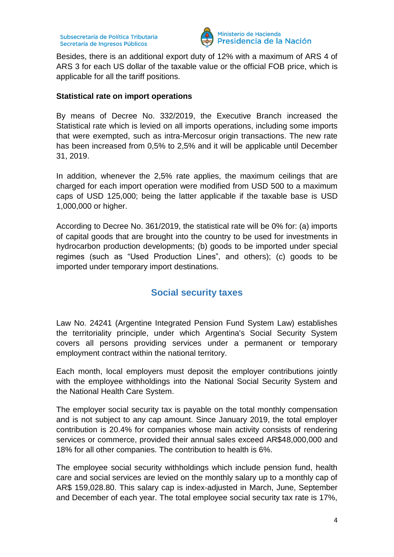

#### Ministerio de Hacienda Presidencia de la Nación

Besides, there is an additional export duty of 12% with a maximum of ARS 4 of ARS 3 for each US dollar of the taxable value or the official FOB price, which is applicable for all the tariff positions.

### **Statistical rate on import operations**

By means of Decree No. 332/2019, the Executive Branch increased the Statistical rate which is levied on all imports operations, including some imports that were exempted, such as intra-Mercosur origin transactions. The new rate has been increased from 0,5% to 2,5% and it will be applicable until December 31, 2019.

In addition, whenever the 2,5% rate applies, the maximum ceilings that are charged for each import operation were modified from USD 500 to a maximum caps of USD 125,000; being the latter applicable if the taxable base is USD 1,000,000 or higher.

According to Decree No. 361/2019, the statistical rate will be 0% for: (a) imports of capital goods that are brought into the country to be used for investments in hydrocarbon production developments; (b) goods to be imported under special regimes (such as "Used Production Lines", and others); (c) goods to be imported under temporary import destinations.

# **Social security taxes**

Law No. 24241 (Argentine Integrated Pension Fund System Law) establishes the territoriality principle, under which Argentina's Social Security System covers all persons providing services under a permanent or temporary employment contract within the national territory.

Each month, local employers must deposit the employer contributions jointly with the employee withholdings into the National Social Security System and the National Health Care System.

The employer social security tax is payable on the total monthly compensation and is not subject to any cap amount. Since January 2019, the total employer contribution is 20.4% for companies whose main activity consists of rendering services or commerce, provided their annual sales exceed AR\$48,000,000 and 18% for all other companies. The contribution to health is 6%.

The employee social security withholdings which include pension fund, health care and social services are levied on the monthly salary up to a monthly cap of AR\$ 159,028.80. This salary cap is index-adjusted in March, June, September and December of each year. The total employee social security tax rate is 17%,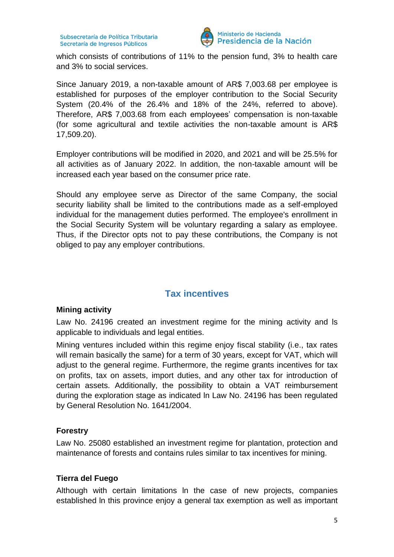

which consists of contributions of 11% to the pension fund, 3% to health care and 3% to social services.

Since January 2019, a non-taxable amount of AR\$ 7,003.68 per employee is established for purposes of the employer contribution to the Social Security System (20.4% of the 26.4% and 18% of the 24%, referred to above). Therefore, AR\$ 7,003.68 from each employees' compensation is non-taxable (for some agricultural and textile activities the non-taxable amount is AR\$ 17,509.20).

Employer contributions will be modified in 2020, and 2021 and will be 25.5% for all activities as of January 2022. In addition, the non-taxable amount will be increased each year based on the consumer price rate.

Should any employee serve as Director of the same Company, the social security liability shall be limited to the contributions made as a self-employed individual for the management duties performed. The employee's enrollment in the Social Security System will be voluntary regarding a salary as employee. Thus, if the Director opts not to pay these contributions, the Company is not obliged to pay any employer contributions.

# **Tax incentives**

### **Mining activity**

Law No. 24196 created an investment regime for the mining activity and ls applicable to individuals and legal entities.

Mining ventures included within this regime enjoy fiscal stability (i.e., tax rates will remain basically the same) for a term of 30 years, except for VAT, which will adjust to the general regime. Furthermore, the regime grants incentives for tax on profits, tax on assets, import duties, and any other tax for introduction of certain assets. Additionally, the possibility to obtain a VAT reimbursement during the exploration stage as indicated ln Law No. 24196 has been regulated by General Resolution No. 1641/2004.

### **Forestry**

Law No. 25080 established an investment regime for plantation, protection and maintenance of forests and contains rules similar to tax incentives for mining.

### **Tierra del Fuego**

Although with certain limitations ln the case of new projects, companies established ln this province enjoy a general tax exemption as well as important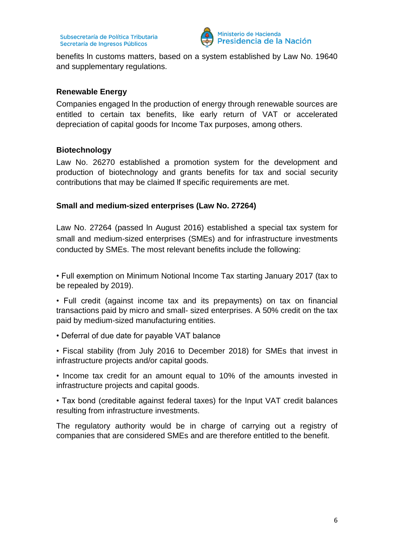

benefits ln customs matters, based on a system established by Law No. 19640 and supplementary regulations.

### **Renewable Energy**

Companies engaged ln the production of energy through renewable sources are entitled to certain tax benefits, like early return of VAT or accelerated depreciation of capital goods for Income Tax purposes, among others.

### **Biotechnology**

Law No. 26270 established a promotion system for the development and production of biotechnology and grants benefits for tax and social security contributions that may be claimed lf specific requirements are met.

### **Small and medium-sized enterprises (Law No. 27264)**

Law No. 27264 (passed ln August 2016) established a special tax system for small and medium-sized enterprises (SMEs) and for infrastructure investments conducted by SMEs. The most relevant benefits include the following:

• Full exemption on Minimum Notional Income Tax starting January 2017 (tax to be repealed by 2019).

• Full credit (against income tax and its prepayments) on tax on financial transactions paid by micro and small- sized enterprises. A 50% credit on the tax paid by medium-sized manufacturing entities.

• Deferral of due date for payable VAT balance

• Fiscal stability (from July 2016 to December 2018) for SMEs that invest in infrastructure projects and/or capital goods.

• Income tax credit for an amount equal to 10% of the amounts invested in infrastructure projects and capital goods.

• Tax bond (creditable against federal taxes) for the Input VAT credit balances resulting from infrastructure investments.

The regulatory authority would be in charge of carrying out a registry of companies that are considered SMEs and are therefore entitled to the benefit.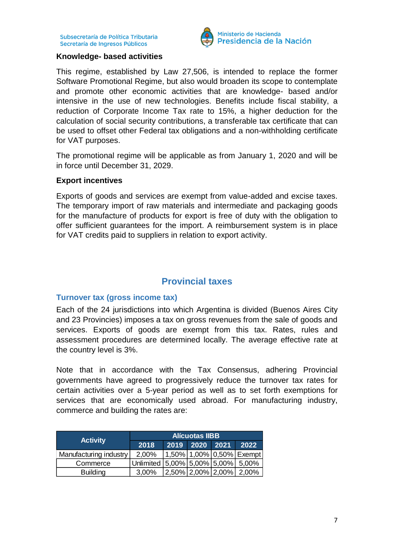

#### **Knowledge- based activities**

This regime, established by Law 27,506, is intended to replace the former Software Promotional Regime, but also would broaden its scope to contemplate and promote other economic activities that are knowledge- based and/or intensive in the use of new technologies. Benefits include fiscal stability, a reduction of Corporate Income Tax rate to 15%, a higher deduction for the calculation of social security contributions, a transferable tax certificate that can be used to offset other Federal tax obligations and a non-withholding certificate for VAT purposes.

The promotional regime will be applicable as from January 1, 2020 and will be in force until December 31, 2029.

### **Export incentives**

Exports of goods and services are exempt from value-added and excise taxes. The temporary import of raw materials and intermediate and packaging goods for the manufacture of products for export is free of duty with the obligation to offer sufficient guarantees for the import. A reimbursement system is in place for VAT credits paid to suppliers in relation to export activity.

### **Provincial taxes**

### **Turnover tax (gross income tax)**

Each of the 24 jurisdictions into which Argentina is divided (Buenos Aires City and 23 Provincies) imposes a tax on gross revenues from the sale of goods and services. Exports of goods are exempt from this tax. Rates, rules and assessment procedures are determined locally. The average effective rate at the country level is 3%.

Note that in accordance with the Tax Consensus, adhering Provincial governments have agreed to progressively reduce the turnover tax rates for certain activities over a 5-year period as well as to set forth exemptions for services that are economically used abroad. For manufacturing industry, commerce and building the rates are:

| <b>Activity</b>        | <b>Alícuotas IIBB</b>                     |      |             |  |                                                             |
|------------------------|-------------------------------------------|------|-------------|--|-------------------------------------------------------------|
|                        | 2018                                      | 2019 | $2020$ 2021 |  | 2022                                                        |
| Manufacturing industry | 2,00%                                     |      |             |  | 1,50%   1,00%   0,50%   Exempt                              |
| Commerce               | Unlimited   5,00%   5,00%   5,00%   5,00% |      |             |  |                                                             |
| <b>Building</b>        | 3.00%                                     |      |             |  | $\left  2,50\% \right  2,00\% \left  2,00\% \right  2,00\%$ |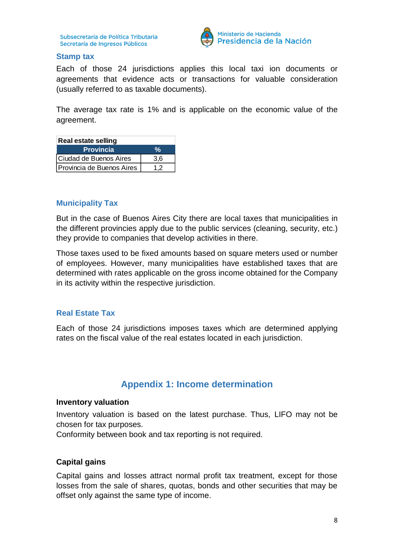

### **Stamp tax**

Each of those 24 jurisdictions applies this local taxi ion documents or agreements that evidence acts or transactions for valuable consideration (usually referred to as taxable documents).

The average tax rate is 1% and is applicable on the economic value of the agreement.

| <b>Real estate selling</b> |     |  |  |  |
|----------------------------|-----|--|--|--|
| <b>Provincia</b>           | У.  |  |  |  |
| Ciudad de Buenos Aires     | 3.6 |  |  |  |
| Provincia de Buenos Aires  | 1.2 |  |  |  |

### **Municipality Tax**

But in the case of Buenos Aires City there are local taxes that municipalities in the different provincies apply due to the public services (cleaning, security, etc.) they provide to companies that develop activities in there.

Those taxes used to be fixed amounts based on square meters used or number of employees. However, many municipalities have established taxes that are determined with rates applicable on the gross income obtained for the Company in its activity within the respective jurisdiction.

### **Real Estate Tax**

Each of those 24 jurisdictions imposes taxes which are determined applying rates on the fiscal value of the real estates located in each jurisdiction.

### **Appendix 1: Income determination**

#### **Inventory valuation**

Inventory valuation is based on the latest purchase. Thus, LIFO may not be chosen for tax purposes.

Conformity between book and tax reporting is not required.

### **Capital gains**

Capital gains and losses attract normal profit tax treatment, except for those losses from the sale of shares, quotas, bonds and other securities that may be offset only against the same type of income.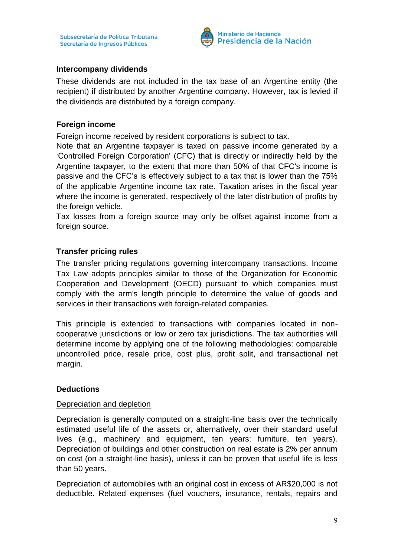

### **Intercompany dividends**

These dividends are not included in the tax base of an Argentine entity (the recipient) if distributed by another Argentine company. However, tax is levied if the dividends are distributed by a foreign company.

### **Foreign income**

Foreign income received by resident corporations is subject to tax.

Note that an Argentine taxpayer is taxed on passive income generated by a 'Controlled Foreign Corporation' (CFC) that is directly or indirectly held by the Argentine taxpayer, to the extent that more than 50% of that CFC's income is passive and the CFC's is effectively subject to a tax that is lower than the 75% of the applicable Argentine income tax rate. Taxation arises in the fiscal year where the income is generated, respectively of the later distribution of profits by the foreign vehicle.

Tax losses from a foreign source may only be offset against income from a foreign source.

### **Transfer pricing rules**

The transfer pricing regulations governing intercompany transactions. Income Tax Law adopts principles similar to those of the Organization for Economic Cooperation and Development (OECD) pursuant to which companies must comply with the arm's length principle to determine the value of goods and services in their transactions with foreign-related companies.

This principle is extended to transactions with companies located in noncooperative jurisdictions or low or zero tax jurisdictions. The tax authorities will determine income by applying one of the following methodologies: comparable uncontrolled price, resale price, cost plus, profit split, and transactional net margin.

### **Deductions**

### Depreciation and depletion

Depreciation is generally computed on a straight-line basis over the technically estimated useful life of the assets or, alternatively, over their standard useful lives (e.g., machinery and equipment, ten years; furniture, ten years). Depreciation of buildings and other construction on real estate is 2% per annum on cost (on a straight-line basis), unless it can be proven that useful life is less than 50 years.

Depreciation of automobiles with an original cost in excess of AR\$20,000 is not deductible. Related expenses (fuel vouchers, insurance, rentals, repairs and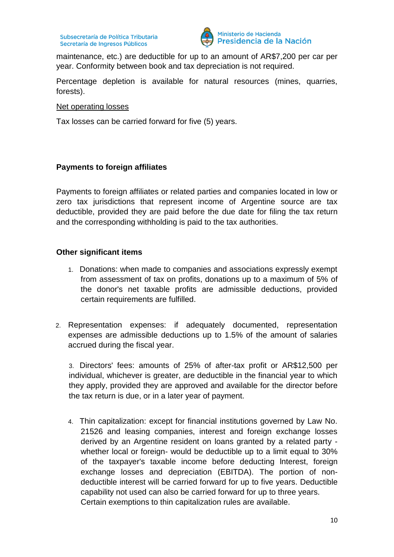

maintenance, etc.) are deductible for up to an amount of AR\$7,200 per car per year. Conformity between book and tax depreciation is not required.

Percentage depletion is available for natural resources (mines, quarries, forests).

Net operating losses

Tax losses can be carried forward for five (5) years.

### **Payments to foreign affiliates**

Payments to foreign affiliates or related parties and companies located in low or zero tax jurisdictions that represent income of Argentine source are tax deductible, provided they are paid before the due date for filing the tax return and the corresponding withholding is paid to the tax authorities.

### **Other significant items**

- 1. Donations: when made to companies and associations expressly exempt from assessment of tax on profits, donations up to a maximum of 5% of the donor's net taxable profits are admissible deductions, provided certain requirements are fulfilled.
- 2. Representation expenses: if adequately documented, representation expenses are admissible deductions up to 1.5% of the amount of salaries accrued during the fiscal year.

3. Directors' fees: amounts of 25% of after-tax profit or AR\$12,500 per individual, whichever is greater, are deductible in the financial year to which they apply, provided they are approved and available for the director before the tax return is due, or in a later year of payment.

4. Thin capitalization: except for financial institutions governed by Law No. 21526 and leasing companies, interest and foreign exchange losses derived by an Argentine resident on loans granted by a related party whether local or foreign- would be deductible up to a limit equal to 30% of the taxpayer's taxable income before deducting lnterest, foreign exchange losses and depreciation (EBITDA). The portion of nondeductible interest will be carried forward for up to five years. Deductible capability not used can also be carried forward for up to three years. Certain exemptions to thin capitalization rules are available.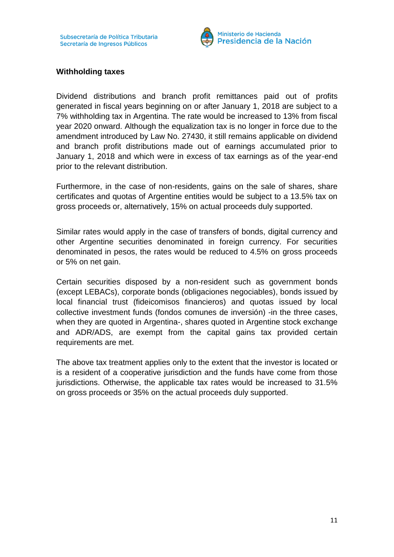

### **Withholding taxes**

Dividend distributions and branch profit remittances paid out of profits generated in fiscal years beginning on or after January 1, 2018 are subject to a 7% withholding tax in Argentina. The rate would be increased to 13% from fiscal year 2020 onward. Although the equalization tax is no longer in force due to the amendment introduced by Law No. 27430, it still remains applicable on dividend and branch profit distributions made out of earnings accumulated prior to January 1, 2018 and which were in excess of tax earnings as of the year-end prior to the relevant distribution.

Furthermore, in the case of non-residents, gains on the sale of shares, share certificates and quotas of Argentine entities would be subject to a 13.5% tax on gross proceeds or, alternatively, 15% on actual proceeds duly supported.

Similar rates would apply in the case of transfers of bonds, digital currency and other Argentine securities denominated in foreign currency. For securities denominated in pesos, the rates would be reduced to 4.5% on gross proceeds or 5% on net gain.

Certain securities disposed by a non-resident such as government bonds (except LEBACs), corporate bonds (obligaciones negociables), bonds issued by local financial trust (fideicomisos financieros) and quotas issued by local collective investment funds (fondos comunes de inversión) -in the three cases, when they are quoted in Argentina-, shares quoted in Argentine stock exchange and ADR/ADS, are exempt from the capital gains tax provided certain requirements are met.

The above tax treatment applies only to the extent that the investor is located or is a resident of a cooperative jurisdiction and the funds have come from those jurisdictions. Otherwise, the applicable tax rates would be increased to 31.5% on gross proceeds or 35% on the actual proceeds duly supported.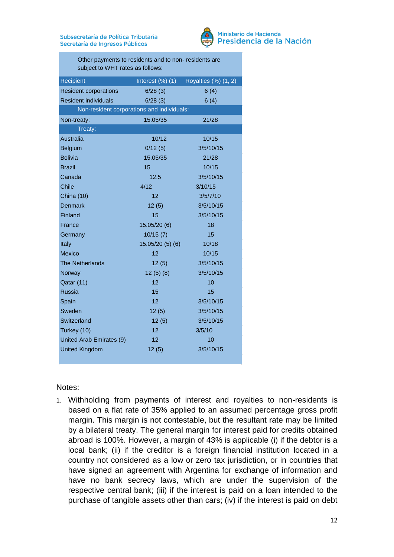

#### Ministerio de Hacienda Presidencia de la Nación

Other payments to residents and to non- residents are subject to WHT rates as follows:

| Recipient                                  | Interest $(\%)$ (1) | Royalties (%) (1, 2) |  |  |  |  |
|--------------------------------------------|---------------------|----------------------|--|--|--|--|
| <b>Resident corporations</b>               | 6/28(3)             | 6(4)                 |  |  |  |  |
| <b>Resident individuals</b>                | 6/28(3)             | 6(4)                 |  |  |  |  |
| Non-resident corporations and individuals: |                     |                      |  |  |  |  |
| Non-treaty:                                | 15.05/35            | 21/28                |  |  |  |  |
| Treaty:                                    |                     |                      |  |  |  |  |
| Australia                                  | 10/12               | 10/15                |  |  |  |  |
| <b>Belgium</b>                             | 0/12(5)             | 3/5/10/15            |  |  |  |  |
| <b>Bolivia</b>                             | 15.05/35            | 21/28                |  |  |  |  |
| <b>Brazil</b>                              | 15                  | 10/15                |  |  |  |  |
| Canada                                     | 12.5                | 3/5/10/15            |  |  |  |  |
| Chile                                      | 4/12                | 3/10/15              |  |  |  |  |
| <b>China (10)</b>                          | 12                  | 3/5/7/10             |  |  |  |  |
| <b>Denmark</b>                             | 12(5)               | 3/5/10/15            |  |  |  |  |
| Finland                                    | 15                  | 3/5/10/15            |  |  |  |  |
| France                                     | 15.05/20 (6)        | 18                   |  |  |  |  |
| Germany                                    | 10/15(7)            | 15                   |  |  |  |  |
| Italy                                      | 15.05/20(5)(6)      | 10/18                |  |  |  |  |
| <b>Mexico</b>                              | 12                  | 10/15                |  |  |  |  |
| <b>The Netherlands</b>                     | 12(5)               | 3/5/10/15            |  |  |  |  |
| Norway                                     | 12(5)(8)            | 3/5/10/15            |  |  |  |  |
| Qatar (11)                                 | 12                  | 10                   |  |  |  |  |
| Russia                                     | 15                  | 15                   |  |  |  |  |
| Spain                                      | 12                  | 3/5/10/15            |  |  |  |  |
| Sweden                                     | 12(5)               | 3/5/10/15            |  |  |  |  |
| Switzerland                                | 12(5)               | 3/5/10/15            |  |  |  |  |
| Turkey (10)                                | 12                  | 3/5/10               |  |  |  |  |
| United Arab Emirates (9)                   | 12                  | 10                   |  |  |  |  |
| <b>United Kingdom</b>                      | 12(5)               | 3/5/10/15            |  |  |  |  |

Notes:

1. Withholding from payments of interest and royalties to non-residents is based on a flat rate of 35% applied to an assumed percentage gross profit margin. This margin is not contestable, but the resultant rate may be limited by a bilateral treaty. The general margin for interest paid for credits obtained abroad is 100%. However, a margin of 43% is applicable (i) if the debtor is a local bank; (ii) if the creditor is a foreign financial institution located in a country not considered as a low or zero tax jurisdiction, or in countries that have signed an agreement with Argentina for exchange of information and have no bank secrecy laws, which are under the supervision of the respective central bank; (iii) if the interest is paid on a loan intended to the purchase of tangible assets other than cars; (iv) if the interest is paid on debt